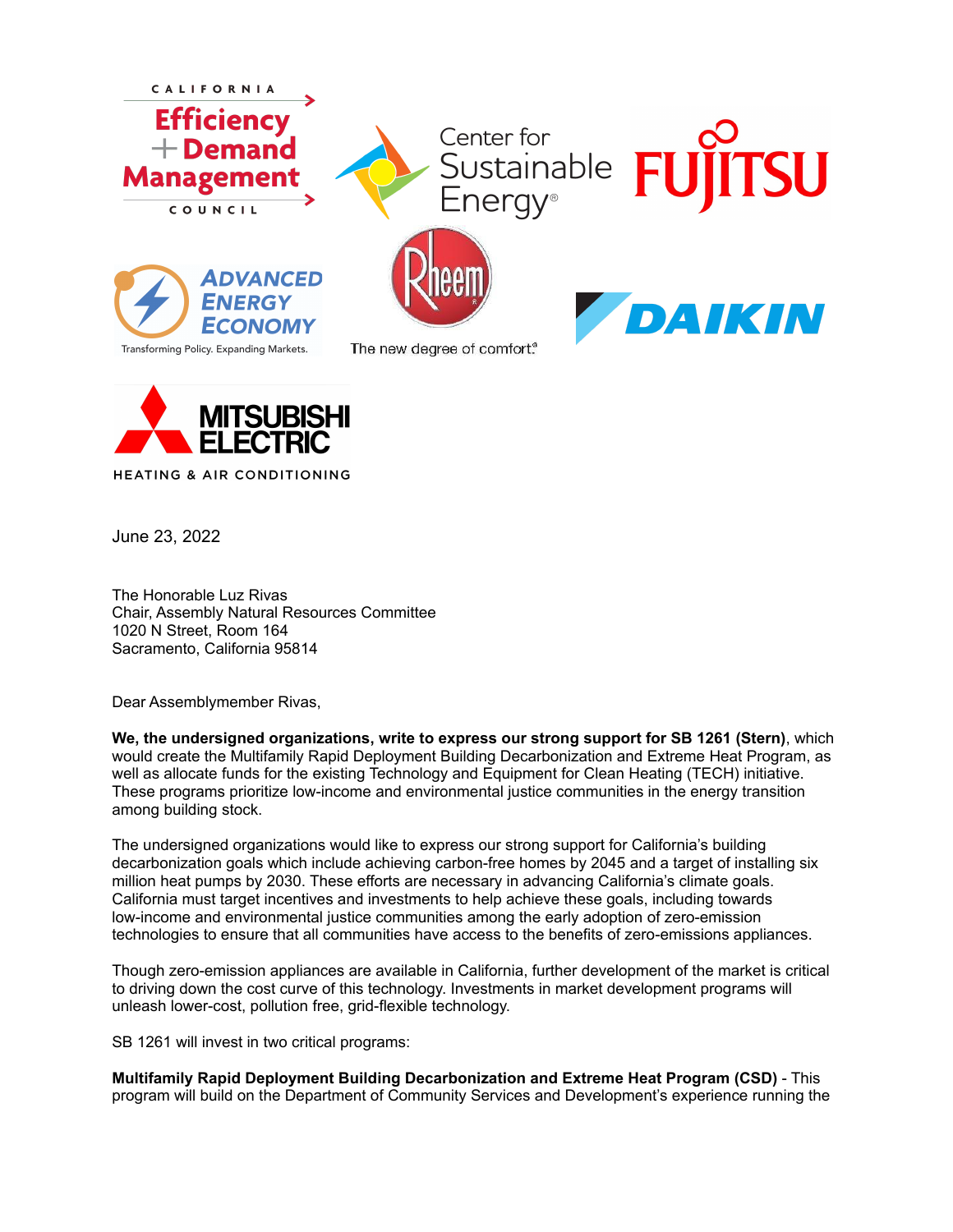



June 23, 2022

The Honorable Luz Rivas Chair, Assembly Natural Resources Committee 1020 N Street, Room 164 Sacramento, California 95814

Dear Assemblymember Rivas,

**We, the undersigned organizations, write to express our strong support for SB 1261 (Stern)**, which would create the Multifamily Rapid Deployment Building Decarbonization and Extreme Heat Program, as well as allocate funds for the existing Technology and Equipment for Clean Heating (TECH) initiative. These programs prioritize low-income and environmental justice communities in the energy transition among building stock.

The undersigned organizations would like to express our strong support for California's building decarbonization goals which include achieving carbon-free homes by 2045 and a target of installing six million heat pumps by 2030. These efforts are necessary in advancing California's climate goals. California must target incentives and investments to help achieve these goals, including towards low-income and environmental justice communities among the early adoption of zero-emission technologies to ensure that all communities have access to the benefits of zero-emissions appliances.

Though zero-emission appliances are available in California, further development of the market is critical to driving down the cost curve of this technology. Investments in market development programs will unleash lower-cost, pollution free, grid-flexible technology.

SB 1261 will invest in two critical programs:

**Multifamily Rapid Deployment Building Decarbonization and Extreme Heat Program (CSD)** - This program will build on the Department of Community Services and Development's experience running the